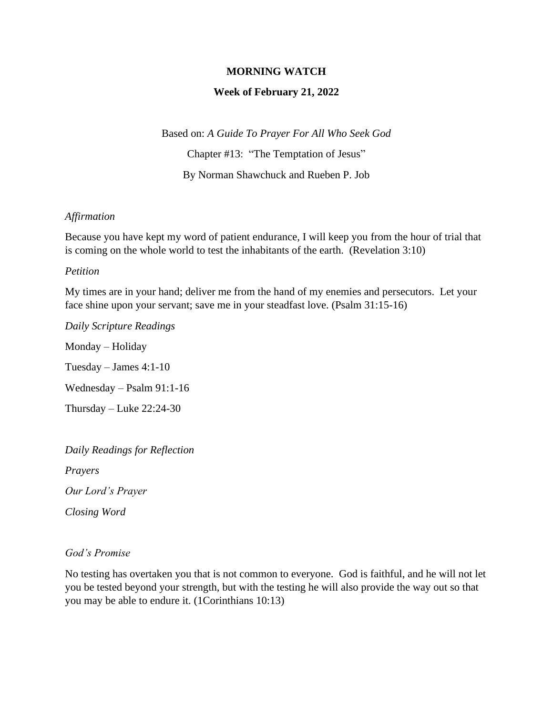## **MORNING WATCH**

## **Week of February 21, 2022**

Based on: *A Guide To Prayer For All Who Seek God*

Chapter #13: "The Temptation of Jesus"

By Norman Shawchuck and Rueben P. Job

## *Affirmation*

Because you have kept my word of patient endurance, I will keep you from the hour of trial that is coming on the whole world to test the inhabitants of the earth. (Revelation 3:10)

#### *Petition*

My times are in your hand; deliver me from the hand of my enemies and persecutors. Let your face shine upon your servant; save me in your steadfast love. (Psalm 31:15-16)

*Daily Scripture Readings*

Monday – Holiday

Tuesday – James 4:1-10

Wednesday – Psalm 91:1-16

Thursday – Luke 22:24-30

*Daily Readings for Reflection*

*Prayers*

*Our Lord's Prayer*

*Closing Word*

## *God's Promise*

No testing has overtaken you that is not common to everyone. God is faithful, and he will not let you be tested beyond your strength, but with the testing he will also provide the way out so that you may be able to endure it. (1Corinthians 10:13)